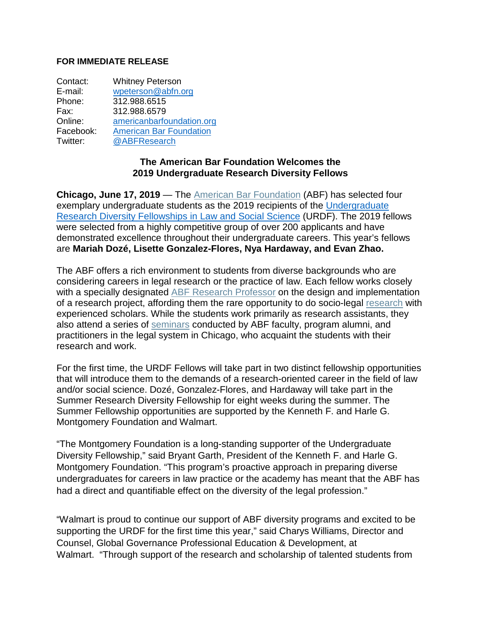## **FOR IMMEDIATE RELEASE**

| Contact:  | <b>Whitney Peterson</b>        |
|-----------|--------------------------------|
| E-mail:   | wpeterson@abfn.org             |
| Phone:    | 312.988.6515                   |
| Fax:      | 312.988.6579                   |
| Online:   | americanbarfoundation.org      |
| Facebook: | <b>American Bar Foundation</b> |
| Twitter:  | @ABFResearch                   |

## **The American Bar Foundation Welcomes the 2019 Undergraduate Research Diversity Fellows**

**Chicago, June 17, 2019** — The American Bar [Foundation](http://www.americanbarfoundation.org/index.html) (ABF) has selected four exemplary undergraduate students as the 2019 recipients of the [Undergraduate](http://www.americanbarfoundation.org/research/Fellowshipopportunities/SummerResearchDiversityFellowshipsinLawandSocialScience.html) [Research Diversity Fellowships in Law and Social Science](http://www.americanbarfoundation.org/research/Fellowshipopportunities/SummerResearchDiversityFellowshipsinLawandSocialScience.html) (URDF). The 2019 fellows were selected from a highly competitive group of over 200 applicants and have demonstrated excellence throughout their undergraduate careers. This year's fellows are **Mariah Dozé, Lisette Gonzalez-Flores, Nya Hardaway, and Evan Zhao.**

The ABF offers a rich environment to students from diverse backgrounds who are considering careers in legal research or the practice of law. Each fellow works closely with a specially designated ABF Research [Professor](http://www.americanbarfoundation.org/faculty/ResearchCommunity/Research_Professors.html) on the design and implementation of a research project, affording them the rare opportunity to do socio-legal [research](http://www.americanbarfoundation.org/faculty/ResearchCommunity/Research_Professors.html) with experienced scholars. While the students work primarily as research assistants, they also attend a series of [seminars](http://www.americanbarfoundation.org/events/category/1) conducted by ABF faculty, program alumni, and practitioners in the legal system in Chicago, who acquaint the students with their research and work.

For the first time, the URDF Fellows will take part in two distinct fellowship opportunities that will introduce them to the demands of a research-oriented career in the field of law and/or social science. Dozé, Gonzalez-Flores, and Hardaway will take part in the Summer Research Diversity Fellowship for eight weeks during the summer. The Summer Fellowship opportunities are supported by the Kenneth F. and Harle G. Montgomery Foundation and Walmart.

"The Montgomery Foundation is a long-standing supporter of the Undergraduate Diversity Fellowship," said Bryant Garth, President of the Kenneth F. and Harle G. Montgomery Foundation. "This program's proactive approach in preparing diverse undergraduates for careers in law practice or the academy has meant that the ABF has had a direct and quantifiable effect on the diversity of the legal profession."

"Walmart is proud to continue our support of ABF diversity programs and excited to be supporting the URDF for the first time this year," said Charys Williams, Director and Counsel, Global Governance Professional Education & Development, at Walmart. "Through support of the research and scholarship of talented students from